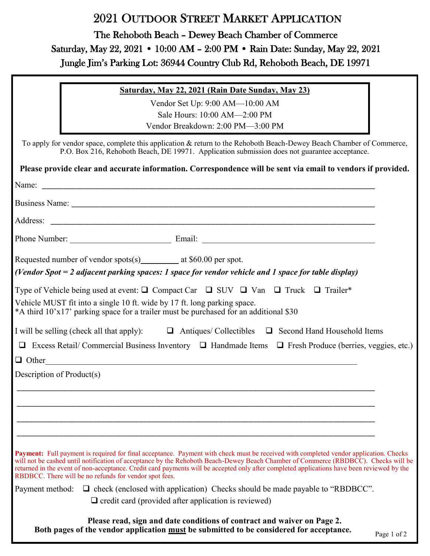# 2021 OUTDOOR STREET MARKET APPLICATION

The Rehoboth Beach – Dewey Beach Chamber of Commerce Saturday, May 22, 2021 • 10:00 AM – 2:00 PM • Rain Date: Sunday, May 22, 2021 Jungle Jim's Parking Lot: 36944 Country Club Rd, Rehoboth Beach, DE 19971

### **Saturday, May 22, 2021 (Rain Date Sunday, May 23)**

Vendor Set Up: 9:00 AM—10:00 AM Sale Hours: 10:00 AM—2:00 PM Vendor Breakdown: 2:00 PM—3:00 PM

To apply for vendor space, complete this application & return to the Rehoboth Beach-Dewey Beach Chamber of Commerce, P.O. Box 216, Rehoboth Beach, DE 19971. Application submission does not guarantee acceptance.

|                           | Please provide clear and accurate information. Correspondence will be sent via email to vendors if provided.                                                                                                                                                                                                                                                                                                                                                                        |             |
|---------------------------|-------------------------------------------------------------------------------------------------------------------------------------------------------------------------------------------------------------------------------------------------------------------------------------------------------------------------------------------------------------------------------------------------------------------------------------------------------------------------------------|-------------|
|                           | Name:                                                                                                                                                                                                                                                                                                                                                                                                                                                                               |             |
|                           | Business Name: example and the set of the set of the set of the set of the set of the set of the set of the set of the set of the set of the set of the set of the set of the set of the set of the set of the set of the set                                                                                                                                                                                                                                                       |             |
|                           |                                                                                                                                                                                                                                                                                                                                                                                                                                                                                     |             |
|                           |                                                                                                                                                                                                                                                                                                                                                                                                                                                                                     |             |
|                           | Requested number of vendor spots(s) __________ at \$60.00 per spot.                                                                                                                                                                                                                                                                                                                                                                                                                 |             |
|                           | (Vendor Spot = 2 adjacent parking spaces: 1 space for vendor vehicle and 1 space for table display)                                                                                                                                                                                                                                                                                                                                                                                 |             |
|                           | Type of Vehicle being used at event: $\Box$ Compact Car $\Box$ SUV $\Box$ Van $\Box$ Truck $\Box$ Trailer*                                                                                                                                                                                                                                                                                                                                                                          |             |
|                           | Vehicle MUST fit into a single 10 ft. wide by 17 ft. long parking space.<br>*A third 10'x17' parking space for a trailer must be purchased for an additional \$30                                                                                                                                                                                                                                                                                                                   |             |
|                           | I will be selling (check all that apply): $\Box$ Antiques/ Collectibles $\Box$ Second Hand Household Items                                                                                                                                                                                                                                                                                                                                                                          |             |
|                           | $\Box$ Excess Retail/ Commercial Business Inventory $\Box$ Handmade Items $\Box$ Fresh Produce (berries, veggies, etc.)                                                                                                                                                                                                                                                                                                                                                             |             |
|                           | $\Box$ Other                                                                                                                                                                                                                                                                                                                                                                                                                                                                        |             |
| Description of Product(s) |                                                                                                                                                                                                                                                                                                                                                                                                                                                                                     |             |
|                           |                                                                                                                                                                                                                                                                                                                                                                                                                                                                                     |             |
|                           |                                                                                                                                                                                                                                                                                                                                                                                                                                                                                     |             |
|                           |                                                                                                                                                                                                                                                                                                                                                                                                                                                                                     |             |
|                           |                                                                                                                                                                                                                                                                                                                                                                                                                                                                                     |             |
|                           | Payment: Full payment is required for final acceptance. Payment with check must be received with completed vendor application. Checks<br>will not be cashed until notification of acceptance by the Rehoboth Beach-Dewey Beach Chamber of Commerce (RBDBCC). Checks will be<br>returned in the event of non-acceptance. Credit card payments will be accepted only after completed applications have been reviewed by the<br>RBDBCC. There will be no refunds for vendor spot fees. |             |
| Payment method:           | $\Box$ check (enclosed with application) Checks should be made payable to "RBDBCC".                                                                                                                                                                                                                                                                                                                                                                                                 |             |
|                           | $\Box$ credit card (provided after application is reviewed)                                                                                                                                                                                                                                                                                                                                                                                                                         |             |
|                           | Please read, sign and date conditions of contract and waiver on Page 2.<br>Both pages of the vendor application must be submitted to be considered for acceptance.                                                                                                                                                                                                                                                                                                                  | Page 1 of 2 |